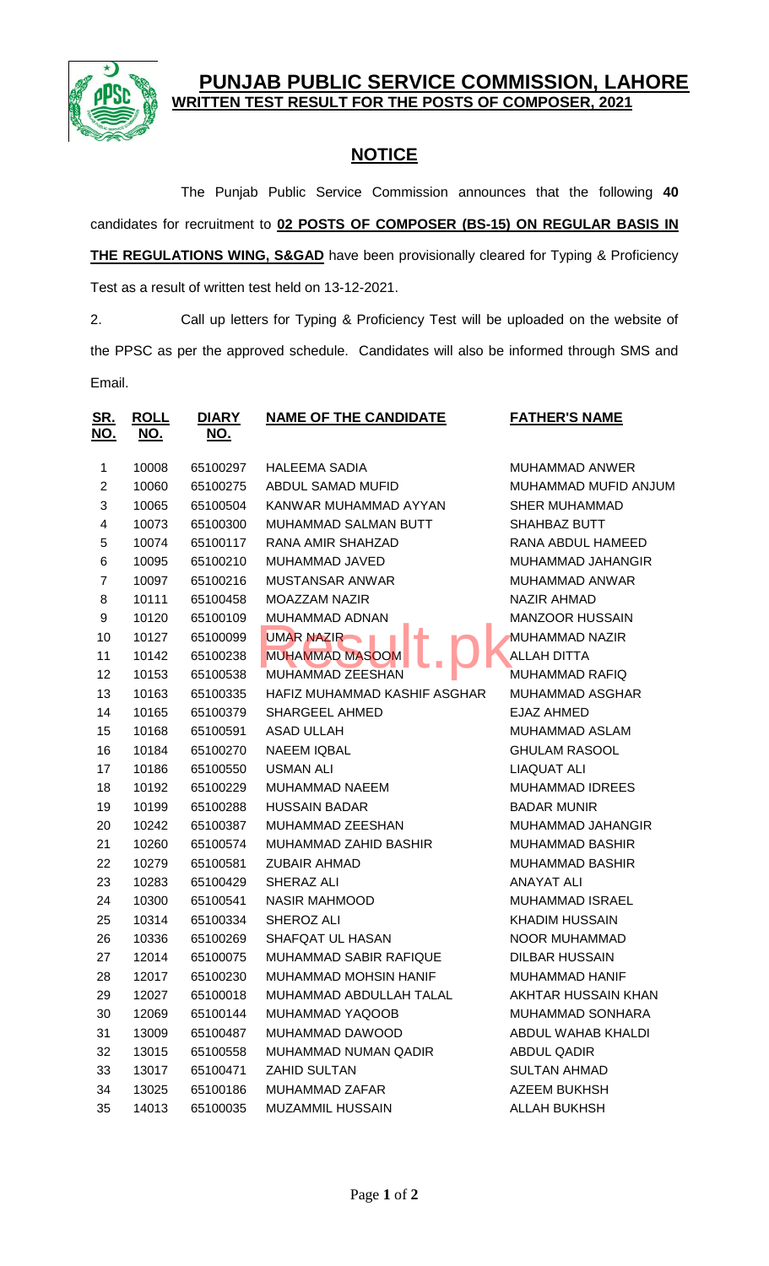

## **PBLIC SERVICE COMMISSION, LAHORE WRITTEN TEST RESULT FOR THE POSTS OF COMPOSER, 2021**

## **NOTICE**

The Punjab Public Service Commission announces that the following **40** candidates for recruitment to **02 POSTS OF COMPOSER (BS-15) ON REGULAR BASIS IN THE REGULATIONS WING, S&GAD** have been provisionally cleared for Typing & Proficiency

Test as a result of written test held on 13-12-2021.

2. Call up letters for Typing & Proficiency Test will be uploaded on the website of the PPSC as per the approved schedule. Candidates will also be informed through SMS and Email.

| <u>SR.</u><br><u>NO.</u> | <b>ROLL</b><br><u>NO.</u> | <b>DIARY</b><br><u>NO.</u> | <b>NAME OF THE CANDIDATE</b> | <b>FATHER'S NAME</b>   |
|--------------------------|---------------------------|----------------------------|------------------------------|------------------------|
| 1                        | 10008                     | 65100297                   | <b>HALEEMA SADIA</b>         | <b>MUHAMMAD ANWER</b>  |
| $\overline{2}$           | 10060                     | 65100275                   | ABDUL SAMAD MUFID            | MUHAMMAD MUFID ANJUM   |
| 3                        | 10065                     | 65100504                   | KANWAR MUHAMMAD AYYAN        | <b>SHER MUHAMMAD</b>   |
| 4                        | 10073                     | 65100300                   | MUHAMMAD SALMAN BUTT         | SHAHBAZ BUTT           |
| 5                        | 10074                     | 65100117                   | RANA AMIR SHAHZAD            | RANA ABDUL HAMEED      |
| 6                        | 10095                     | 65100210                   | MUHAMMAD JAVED               | MUHAMMAD JAHANGIR      |
| $\overline{7}$           | 10097                     | 65100216                   | <b>MUSTANSAR ANWAR</b>       | MUHAMMAD ANWAR         |
| 8                        | 10111                     | 65100458                   | <b>MOAZZAM NAZIR</b>         | <b>NAZIR AHMAD</b>     |
| 9                        | 10120                     | 65100109                   | MUHAMMAD ADNAN               | <b>MANZOOR HUSSAIN</b> |
| 10                       | 10127                     | 65100099                   | <b>UMAR NAZIR</b>            | MUHAMMAD NAZIR         |
| 11                       | 10142                     | 65100238                   | <b>MUHAMMAD MASOOM</b>       | <b>ALLAH DITTA</b>     |
| 12                       | 10153                     | 65100538                   | <b>MUHAMMAD ZEESHAN</b>      | <b>MUHAMMAD RAFIQ</b>  |
| 13                       | 10163                     | 65100335                   | HAFIZ MUHAMMAD KASHIF ASGHAR | <b>MUHAMMAD ASGHAR</b> |
| 14                       | 10165                     | 65100379                   | <b>SHARGEEL AHMED</b>        | EJAZ AHMED             |
| 15                       | 10168                     | 65100591                   | <b>ASAD ULLAH</b>            | <b>MUHAMMAD ASLAM</b>  |
| 16                       | 10184                     | 65100270                   | <b>NAEEM IQBAL</b>           | <b>GHULAM RASOOL</b>   |
| 17                       | 10186                     | 65100550                   | <b>USMAN ALI</b>             | <b>LIAQUAT ALI</b>     |
| 18                       | 10192                     | 65100229                   | <b>MUHAMMAD NAEEM</b>        | <b>MUHAMMAD IDREES</b> |
| 19                       | 10199                     | 65100288                   | <b>HUSSAIN BADAR</b>         | <b>BADAR MUNIR</b>     |
| 20                       | 10242                     | 65100387                   | MUHAMMAD ZEESHAN             | MUHAMMAD JAHANGIR      |
| 21                       | 10260                     | 65100574                   | MUHAMMAD ZAHID BASHIR        | <b>MUHAMMAD BASHIR</b> |
| 22                       | 10279                     | 65100581                   | <b>ZUBAIR AHMAD</b>          | <b>MUHAMMAD BASHIR</b> |
| 23                       | 10283                     | 65100429                   | SHERAZ ALI                   | <b>ANAYAT ALI</b>      |
| 24                       | 10300                     | 65100541                   | <b>NASIR MAHMOOD</b>         | <b>MUHAMMAD ISRAEL</b> |
| 25                       | 10314                     | 65100334                   | SHEROZ ALI                   | <b>KHADIM HUSSAIN</b>  |
| 26                       | 10336                     | 65100269                   | SHAFQAT UL HASAN             | NOOR MUHAMMAD          |
| 27                       | 12014                     | 65100075                   | MUHAMMAD SABIR RAFIQUE       | <b>DILBAR HUSSAIN</b>  |
| 28                       | 12017                     | 65100230                   | MUHAMMAD MOHSIN HANIF        | MUHAMMAD HANIF         |
| 29                       | 12027                     | 65100018                   | MUHAMMAD ABDULLAH TALAL      | AKHTAR HUSSAIN KHAN    |
| 30                       | 12069                     | 65100144                   | MUHAMMAD YAQOOB              | MUHAMMAD SONHARA       |
| 31                       | 13009                     | 65100487                   | MUHAMMAD DAWOOD              | ABDUL WAHAB KHALDI     |
| 32                       | 13015                     | 65100558                   | MUHAMMAD NUMAN QADIR         | ABDUL QADIR            |
| 33                       | 13017                     | 65100471                   | ZAHID SULTAN                 | <b>SULTAN AHMAD</b>    |
| 34                       | 13025                     | 65100186                   | MUHAMMAD ZAFAR               | <b>AZEEM BUKHSH</b>    |
| 35                       | 14013                     | 65100035                   | <b>MUZAMMIL HUSSAIN</b>      | <b>ALLAH BUKHSH</b>    |
|                          |                           |                            |                              |                        |